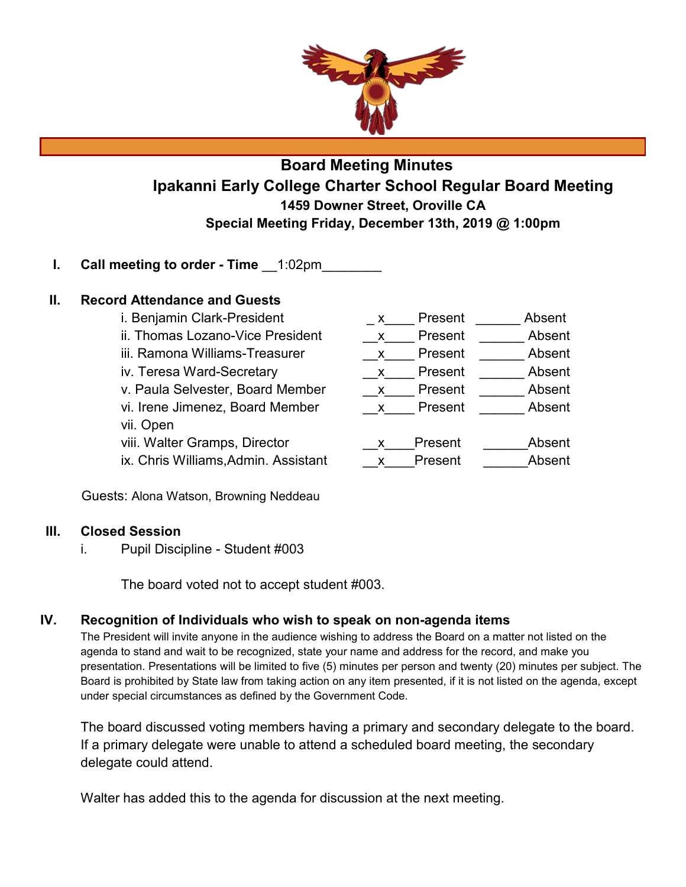

# **Board Meeting Minutes Ipakanni Early College Charter School Regular Board Meeting 1459 Downer Street, Oroville CA Special Meeting Friday, December 13th, 2019 @ 1:00pm**

# **I.** Call meeting to order - Time  $-1:02$ pm

### **II. Record Attendance and Guests**

i. Benjamin Clark-President The Society Absent Absent ii. Thomas Lozano-Vice President  $\overline{X}$  Present  $\overline{X}$  Absent iii. Ramona Williams-Treasurer and a solution of Present and Absent iv. Teresa Ward-Secretary **Example 20 Serverse Absent** Absent v. Paula Selvester, Board Member  $\frac{1}{x}$  Present Absent vi. Irene Jimenez, Board Member  $x - p$ resent Absent vii. Open viii. Walter Gramps, Director  $\begin{array}{ccc} x & P$ resent  $\end{array}$  Absent ix. Chris Williams, Admin. Assistant v and Densent and Absent

Guests: Alona Watson, Browning Neddeau

### **III. Closed Session**

i. Pupil Discipline - Student #003

The board voted not to accept student #003.

### **IV. Recognition of Individuals who wish to speak on non-agenda items**

The President will invite anyone in the audience wishing to address the Board on a matter not listed on the agenda to stand and wait to be recognized, state your name and address for the record, and make you presentation. Presentations will be limited to five (5) minutes per person and twenty (20) minutes per subject. The Board is prohibited by State law from taking action on any item presented, if it is not listed on the agenda, except under special circumstances as defined by the Government Code.

The board discussed voting members having a primary and secondary delegate to the board. If a primary delegate were unable to attend a scheduled board meeting, the secondary delegate could attend.

Walter has added this to the agenda for discussion at the next meeting.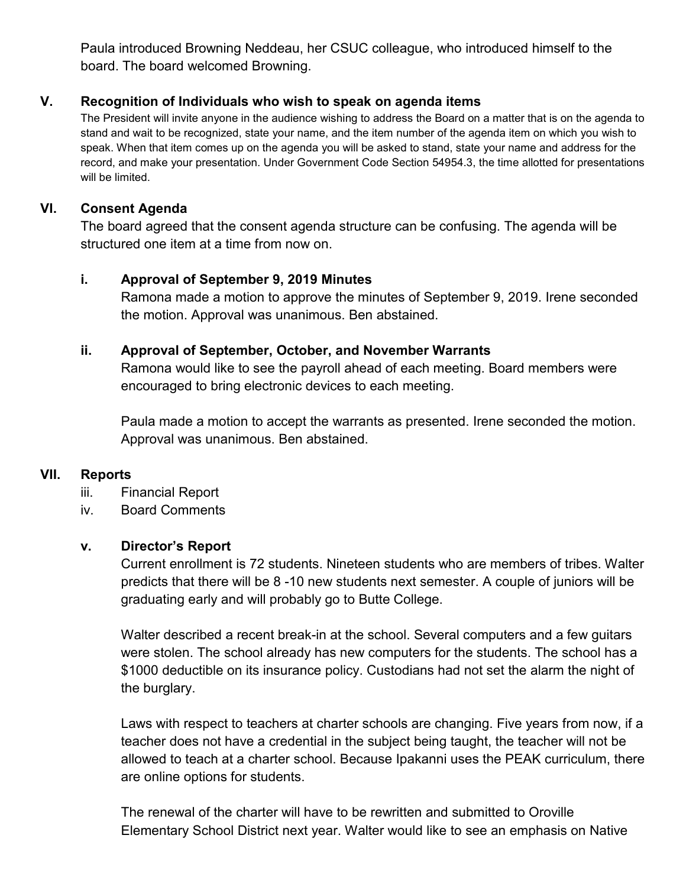Paula introduced Browning Neddeau, her CSUC colleague, who introduced himself to the board. The board welcomed Browning.

# **V. Recognition of Individuals who wish to speak on agenda items**

The President will invite anyone in the audience wishing to address the Board on a matter that is on the agenda to stand and wait to be recognized, state your name, and the item number of the agenda item on which you wish to speak. When that item comes up on the agenda you will be asked to stand, state your name and address for the record, and make your presentation. Under Government Code Section 54954.3, the time allotted for presentations will be limited.

# **VI. Consent Agenda**

The board agreed that the consent agenda structure can be confusing. The agenda will be structured one item at a time from now on.

# **i. Approval of September 9, 2019 Minutes**

Ramona made a motion to approve the minutes of September 9, 2019. Irene seconded the motion. Approval was unanimous. Ben abstained.

# **ii. Approval of September, October, and November Warrants**

Ramona would like to see the payroll ahead of each meeting. Board members were encouraged to bring electronic devices to each meeting.

Paula made a motion to accept the warrants as presented. Irene seconded the motion. Approval was unanimous. Ben abstained.

# **VII. Reports**

- iii. Financial Report
- iv. Board Comments

### **v. Director's Report**

Current enrollment is 72 students. Nineteen students who are members of tribes. Walter predicts that there will be 8 -10 new students next semester. A couple of juniors will be graduating early and will probably go to Butte College.

Walter described a recent break-in at the school. Several computers and a few guitars were stolen. The school already has new computers for the students. The school has a \$1000 deductible on its insurance policy. Custodians had not set the alarm the night of the burglary.

Laws with respect to teachers at charter schools are changing. Five years from now, if a teacher does not have a credential in the subject being taught, the teacher will not be allowed to teach at a charter school. Because Ipakanni uses the PEAK curriculum, there are online options for students.

The renewal of the charter will have to be rewritten and submitted to Oroville Elementary School District next year. Walter would like to see an emphasis on Native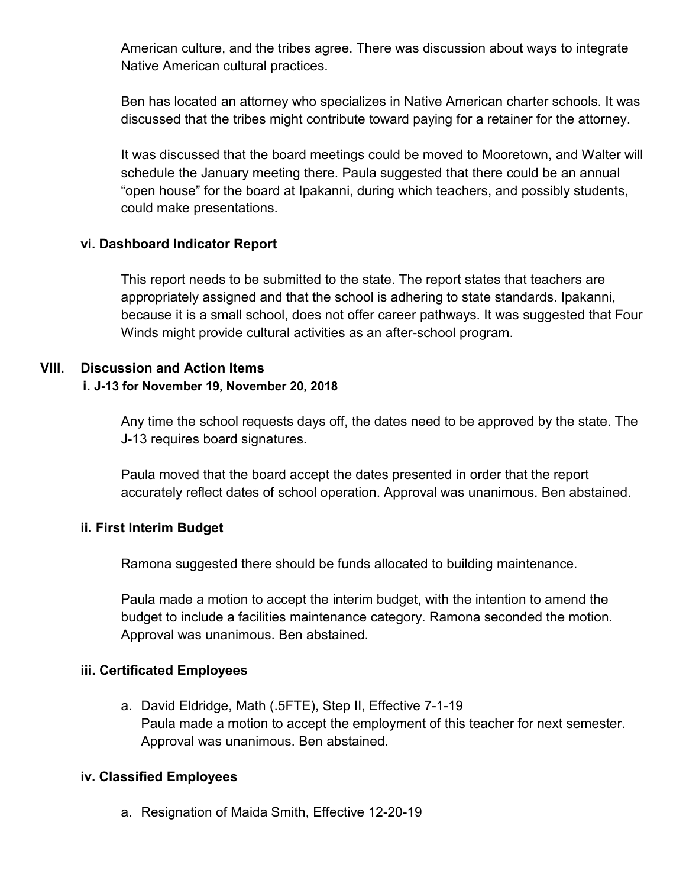American culture, and the tribes agree. There was discussion about ways to integrate Native American cultural practices.

Ben has located an attorney who specializes in Native American charter schools. It was discussed that the tribes might contribute toward paying for a retainer for the attorney.

It was discussed that the board meetings could be moved to Mooretown, and Walter will schedule the January meeting there. Paula suggested that there could be an annual "open house" for the board at Ipakanni, during which teachers, and possibly students, could make presentations.

# **vi. Dashboard Indicator Report**

This report needs to be submitted to the state. The report states that teachers are appropriately assigned and that the school is adhering to state standards. Ipakanni, because it is a small school, does not offer career pathways. It was suggested that Four Winds might provide cultural activities as an after-school program.

# **VIII. Discussion and Action Items**

# **i. J-13 for November 19, November 20, 2018**

Any time the school requests days off, the dates need to be approved by the state. The J-13 requires board signatures.

Paula moved that the board accept the dates presented in order that the report accurately reflect dates of school operation. Approval was unanimous. Ben abstained.

# **ii. First Interim Budget**

Ramona suggested there should be funds allocated to building maintenance.

Paula made a motion to accept the interim budget, with the intention to amend the budget to include a facilities maintenance category. Ramona seconded the motion. Approval was unanimous. Ben abstained.

### **iii. Certificated Employees**

a. David Eldridge, Math (.5FTE), Step II, Effective 7-1-19 Paula made a motion to accept the employment of this teacher for next semester. Approval was unanimous. Ben abstained.

### **iv. Classified Employees**

a. Resignation of Maida Smith, Effective 12-20-19